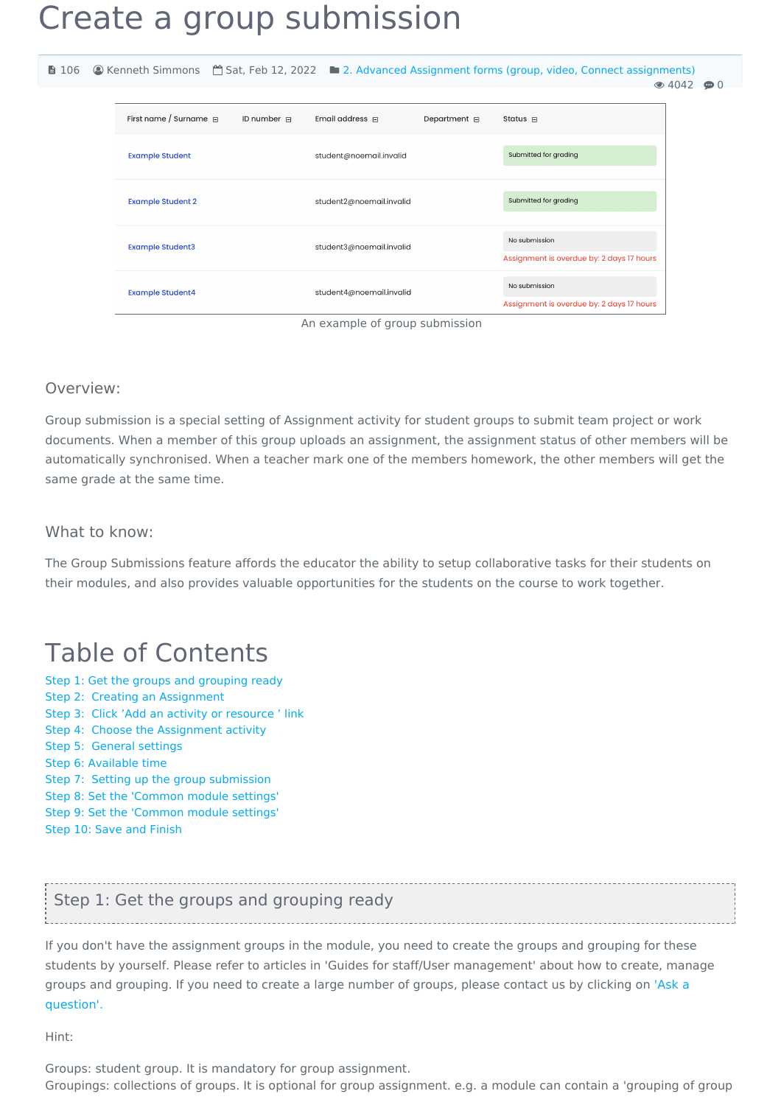# Create a group submission

| ■ 106 |                            |                  |                                                      |                        | © Kenneth Simmons <sup>**</sup> Sat, Feb 12, 2022 <b>b</b> 2. Advanced Assignment forms (group, video, Connect assignments) | $\odot$ 4042<br>$\bullet$ 0 |
|-------|----------------------------|------------------|------------------------------------------------------|------------------------|-----------------------------------------------------------------------------------------------------------------------------|-----------------------------|
|       | First name / Surname $\Xi$ | ID number $\Box$ | Email address $\Box$                                 | Department $\boxminus$ | Status $\boxdot$                                                                                                            |                             |
|       | <b>Example Student</b>     |                  | student@noemail.invalid                              |                        | Submitted for grading                                                                                                       |                             |
|       | <b>Example Student 2</b>   |                  | student2@noemail.invalid<br>student3@noemail.invalid |                        | Submitted for grading                                                                                                       |                             |
|       | <b>Example Student3</b>    |                  |                                                      |                        | No submission<br>Assignment is overdue by: 2 days 17 hours                                                                  |                             |
|       | <b>Example Student4</b>    |                  | student4@noemail.invalid                             |                        | No submission<br>Assignment is overdue by: 2 days 17 hours                                                                  |                             |

An example of group submission

#### Overview:

Group submission is a special setting of Assignment activity for student groups to submit team project or work documents. When a member of this group uploads an assignment, the assignment status of other members will be automatically synchronised. When a teacher mark one of the members homework, the other members will get the same grade at the same time.

#### What to know:

The Group Submissions feature affords the educator the ability to setup collaborative tasks for their students on their modules, and also provides valuable opportunities for the students on the course to work together.

# Table of Contents

Step 1: Get the groups and [grouping](#page-0-0) ready Step 2: Creating an [Assignment](#page-1-0) Step 3: Click 'Add an activity or [resource](#page-1-1) ' link Step 4: Choose the [Assignment](#page-2-0) activity Step 5: General [settings](#page-2-1) Step 6: [Available](#page-2-2) time Step 7: Setting up the group [submission](#page-3-0) Step 8: Set the ['Common](#page-3-1) module settings' Step 9: Set the ['Common](#page-3-2) module settings' Step 10: Save and [Finish](#page-4-0)

## <span id="page-0-0"></span>Step 1: Get the groups and grouping ready

If you don't have the assignment groups in the module, you need to create the groups and grouping for these students by yourself. Please refer to articles in 'Guides for staff/User management' about how to create, manage groups and [grouping.](https://knowledgebase.xjtlu.edu.cn/contact.php) If you need to create a large number of groups, please contact us by clicking on 'Ask a question'.

Hint:

Groups: student group. It is mandatory for group assignment. Groupings: collections of groups. It is optional for group assignment. e.g. a module can contain a 'grouping of group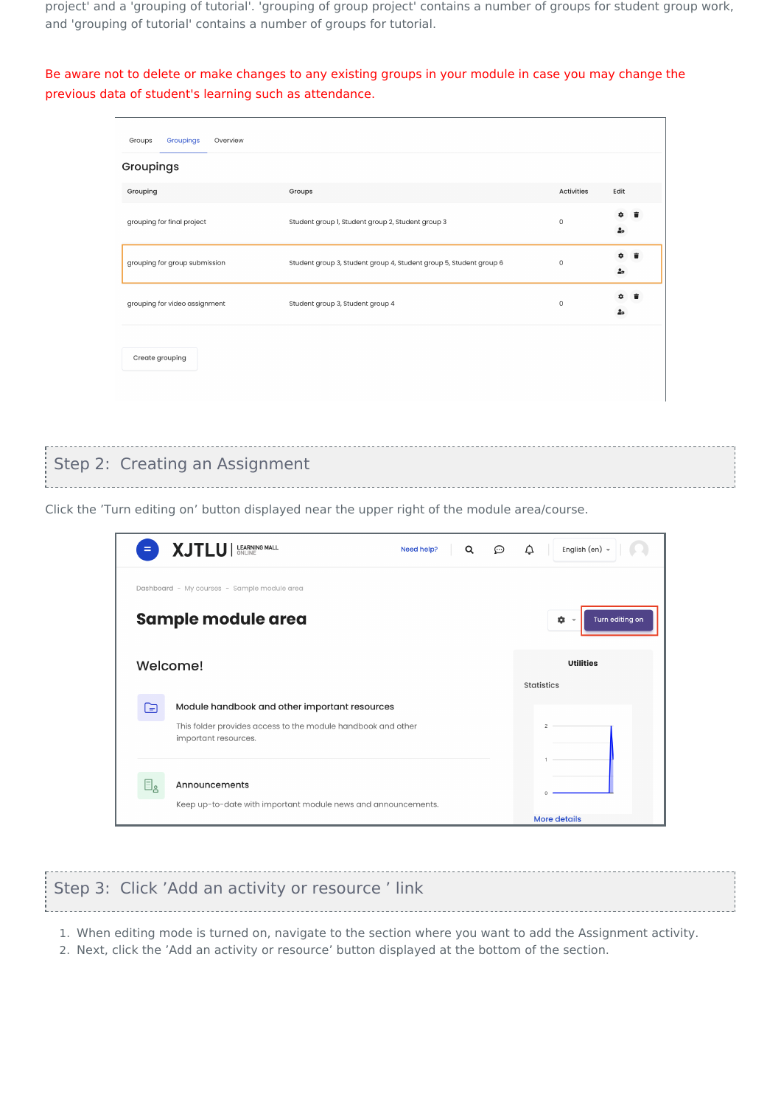project' and a 'grouping of tutorial'. 'grouping of group project' contains a number of groups for student group work, and 'grouping of tutorial' contains a number of groups for tutorial.

Be aware not to delete or make changes to any existing groups in your module in case you may change the previous data of student's learning such as attendance.

| Groupings<br>Groups<br>Overview |                                                                    |                     |                           |
|---------------------------------|--------------------------------------------------------------------|---------------------|---------------------------|
| Groupings                       |                                                                    |                     |                           |
| Grouping                        | Groups                                                             | Activities          | Edit                      |
| grouping for final project      | Student group 1, Student group 2, Student group 3                  | $\circ$             | ٠<br>$\frac{9}{40}$       |
| grouping for group submission   | Student group 3, Student group 4, Student group 5, Student group 6 | $\mathsf{O}\xspace$ | ۰<br>۰<br>ٷ               |
| grouping for video assignment   | Student group 3, Student group 4                                   | 0                   | ۰<br>û<br>$\frac{2}{100}$ |
| Create grouping                 |                                                                    |                     |                           |

#### <span id="page-1-0"></span>Step 2: Creating an Assignment

Click the 'Turn editing on' button displayed near the upper right of the module area/course.

| $=$                    | XJTLU   LEARNING MALL                                                                                                                 | Need help?<br>Q | ⊙ | English (en) +<br>△                    |
|------------------------|---------------------------------------------------------------------------------------------------------------------------------------|-----------------|---|----------------------------------------|
|                        | Dashboard - My courses - Sample module area<br>Sample module area                                                                     |                 |   | Turn editing on<br>×.<br>$\rightarrow$ |
|                        | Welcome!                                                                                                                              |                 |   | <b>Utilities</b><br><b>Statistics</b>  |
| ।∋                     | Module handbook and other important resources<br>This folder provides access to the module handbook and other<br>important resources. |                 |   |                                        |
| $\boxdot_{\mathtt{g}}$ | Announcements<br>Keep up-to-date with important module news and announcements.                                                        |                 |   | <b>More details</b>                    |

<span id="page-1-1"></span>

| Step 3: Click 'Add an activity or resource 'link |  |
|--------------------------------------------------|--|
|                                                  |  |

1. When editing mode is turned on, navigate to the section where you want to add the Assignment activity.

2. Next, click the 'Add an activity or resource' button displayed at the bottom of the section.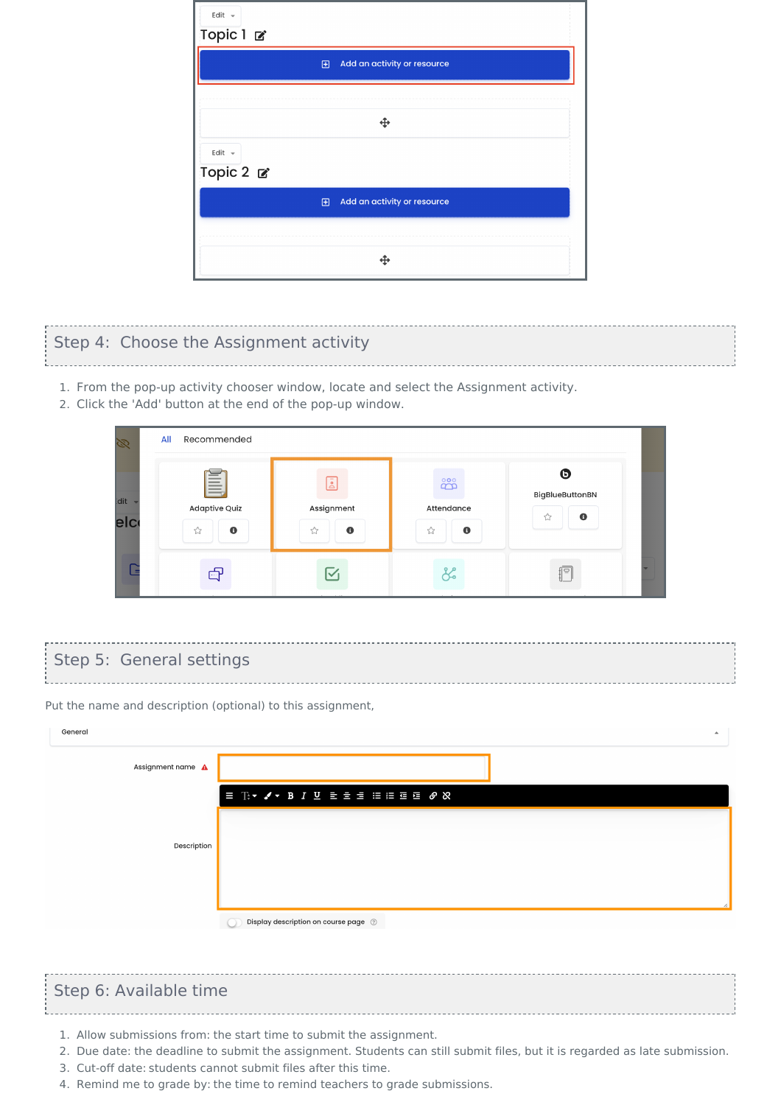| Edit $\sim$                               |
|-------------------------------------------|
| Topic 1 <b>⊘</b>                          |
| Add an activity or resource<br>$\boxplus$ |
|                                           |
|                                           |
| Edit -<br>Topic 2 <b>₫</b>                |
| Add an activity or resource<br>$\boxplus$ |
|                                           |
|                                           |

## <span id="page-2-0"></span>Step 4: Choose the Assignment activity

- 1. From the pop-up activity chooser window, locate and select the Assignment activity.
- 2. Click the 'Add' button at the end of the pop-up window.

| Ø            | Recommended<br>All                                                                                                                      |                                   |                                                               |                                                            |  |
|--------------|-----------------------------------------------------------------------------------------------------------------------------------------|-----------------------------------|---------------------------------------------------------------|------------------------------------------------------------|--|
| dit -<br>elc | =<br>$\qquad \qquad$<br>$\qquad \qquad - \qquad$<br>$\qquad \qquad$<br>$\qquad \qquad$<br>$-$<br><b>Adaptive Quiz</b><br>$\bullet$<br>☆ | ē<br>Assignment<br>$\bullet$<br>☆ | $\overset{\circ}{\mathbb{D}}$<br>Attendance<br>$\bullet$<br>☆ | $\boldsymbol{\Theta}$<br>BigBlueButtonBN<br>$\bullet$<br>☆ |  |
|              | 吗                                                                                                                                       | $\overline{\smile}$               |                                                               | $\equiv$                                                   |  |

## <span id="page-2-1"></span>Step 5: General settings

Put the name and description (optional) to this assignment,

| General           | $\Delta$                                                                                                                                                                                        |
|-------------------|-------------------------------------------------------------------------------------------------------------------------------------------------------------------------------------------------|
| Assignment name A |                                                                                                                                                                                                 |
|                   | $\equiv \mathbb{T} \cdot \blacktriangleleft \cdot B \text{ } I \text{ } \underline{U} \text{ } \equiv \exists \text{ } \equiv \text{ } \equiv \text{ } \equiv \text{ } \mathcal{O} \text{ } \&$ |
|                   |                                                                                                                                                                                                 |
| Description       |                                                                                                                                                                                                 |
|                   |                                                                                                                                                                                                 |
|                   | Display description on course page ②                                                                                                                                                            |

## <span id="page-2-2"></span>Step 6: Available time

- 
- 1. Allow submissions from: the start time to submit the assignment.
- 2. Due date: the deadline to submit the assignment. Students can still submit files, but it is regarded as late submission.
- 3. Cut-off date: students cannot submit files after this time.
- 4. Remind me to grade by: the time to remind teachers to grade submissions.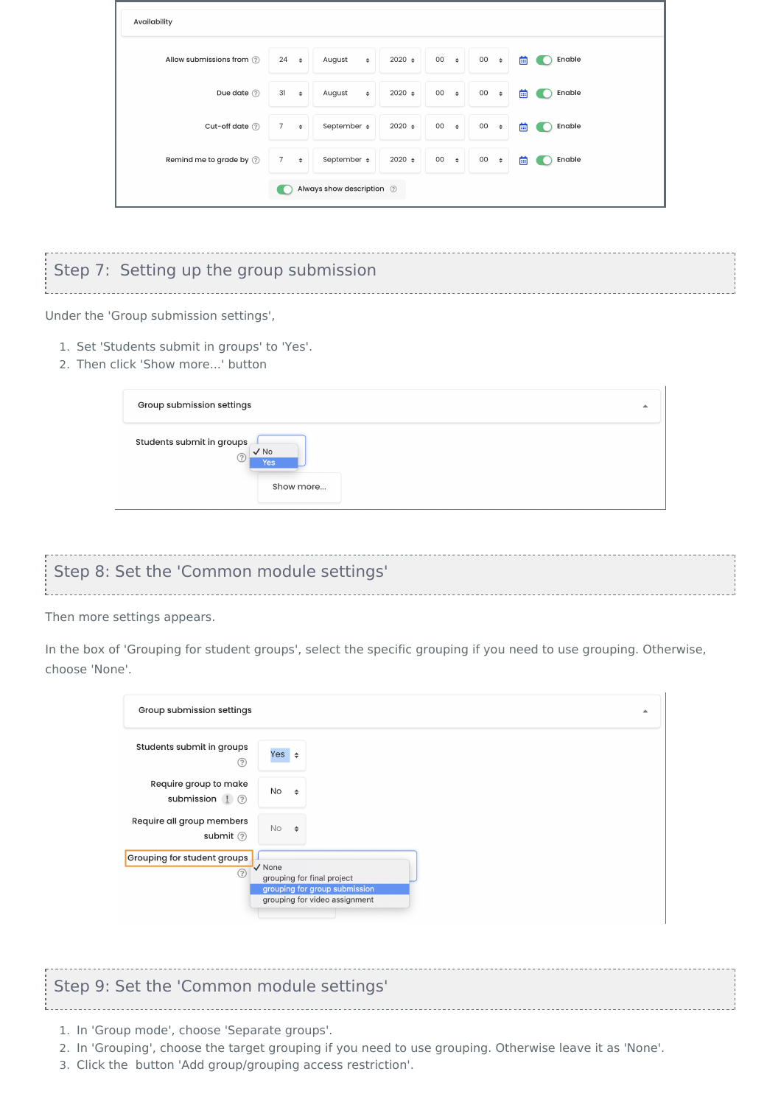| Availability                |                                       |                              |             |                         |                     |             |
|-----------------------------|---------------------------------------|------------------------------|-------------|-------------------------|---------------------|-------------|
| Allow submissions from (?)  | $24 \div$                             | August<br>$\Rightarrow$      | $2020 \div$ | $00 \div$               | 00<br>$\Rightarrow$ | Enable<br>画 |
| Due date $\circledcirc$     | $31 \div$                             | August<br>$\hat{\mathbf{v}}$ | $2020 \div$ | $00\,$<br>$\Rightarrow$ | 00<br>$\Rightarrow$ | Enable<br>画 |
| Cut-off date (?)            | $7\overline{ }$<br>$\hat{\mathbf{v}}$ | September $\div$             | $2020 \div$ | 00<br>$\Rightarrow$     | 00<br>$\Rightarrow$ | Enable<br>画 |
| Remind me to grade by $(?)$ | 7<br>$\Rightarrow$                    | September $\div$             | $2020 \div$ | $00\,$<br>$\Rightarrow$ | 00<br>$\Rightarrow$ | 曲<br>Enable |
|                             |                                       | Always show description 2    |             |                         |                     |             |

# <span id="page-3-0"></span>Step 7: Setting up the group submission

Under the 'Group submission settings',

- 1. Set 'Students submit in groups' to 'Yes'.
- 2. Then click 'Show more...' button

| Group submission settings      |                                        | $\blacktriangle$ |
|--------------------------------|----------------------------------------|------------------|
| Students submit in groups<br>つ | $\sqrt{NQ}$<br><b>Yes</b><br>Show more |                  |

# <span id="page-3-1"></span>Step 8: Set the 'Common module settings'

Then more settings appears.

In the box of 'Grouping for student groups', select the specific grouping if you need to use grouping. Otherwise, choose 'None'.

| Group submission settings                                             |                                                                                                        | ▲ |
|-----------------------------------------------------------------------|--------------------------------------------------------------------------------------------------------|---|
| Students submit in groups<br>⊘                                        | Yes $\div$                                                                                             |   |
| Require group to make<br>submission $\left  \right $ $\left  \right $ | No<br>$\Rightarrow$                                                                                    |   |
| Require all group members<br>submit (?)                               | No<br>$\Rightarrow$                                                                                    |   |
| Grouping for student groups<br>(?)                                    | V None<br>grouping for final project<br>grouping for group submission<br>grouping for video assignment |   |

# <span id="page-3-2"></span>Step 9: Set the 'Common module settings'

- 1. In 'Group mode', choose 'Separate groups'.
- 2. In 'Grouping', choose the target grouping if you need to use grouping. Otherwise leave it as 'None'.
- 3. Click the button 'Add group/grouping access restriction'.